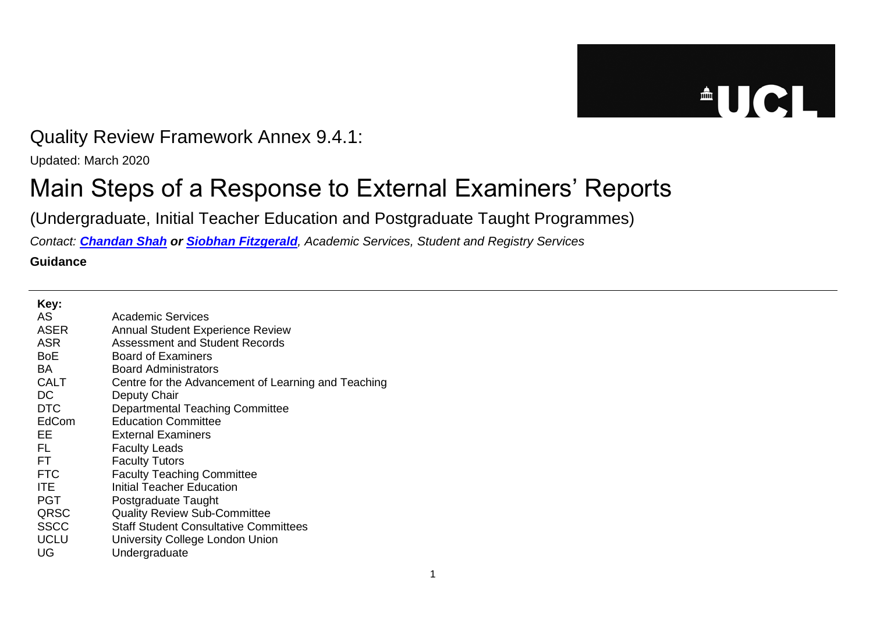## $\triangle$ UCL

## Quality Review Framework Annex 9.4.1:

Updated: March 2020

## Main Steps of a Response to External Examiners' Reports

(Undergraduate, Initial Teacher Education and Postgraduate Taught Programmes)

*Contact: [Chandan Shah](mailto:examiners@ucl.ac.uk) or [Siobhan Fitzgerald](mailto:examiners@ucl.ac.uk), Academic Services, Student and Registry Services*

**Guidance**

| Key:        |                                                     |
|-------------|-----------------------------------------------------|
| AS.         | Academic Services                                   |
| <b>ASER</b> | <b>Annual Student Experience Review</b>             |
| <b>ASR</b>  | Assessment and Student Records                      |
| <b>BoE</b>  | <b>Board of Examiners</b>                           |
| BA.         | <b>Board Administrators</b>                         |
| <b>CALT</b> | Centre for the Advancement of Learning and Teaching |
| DC          | Deputy Chair                                        |
| <b>DTC</b>  | <b>Departmental Teaching Committee</b>              |
| EdCom       | <b>Education Committee</b>                          |
| EE          | External Examiners                                  |
| FL          | <b>Faculty Leads</b>                                |
| FT.         | <b>Faculty Tutors</b>                               |
| <b>FTC</b>  | <b>Faculty Teaching Committee</b>                   |
| <b>ITE</b>  | Initial Teacher Education                           |
| <b>PGT</b>  | Postgraduate Taught                                 |
| QRSC        | <b>Quality Review Sub-Committee</b>                 |
| <b>SSCC</b> | <b>Staff Student Consultative Committees</b>        |
| <b>UCLU</b> | University College London Union                     |
| UG          | Undergraduate                                       |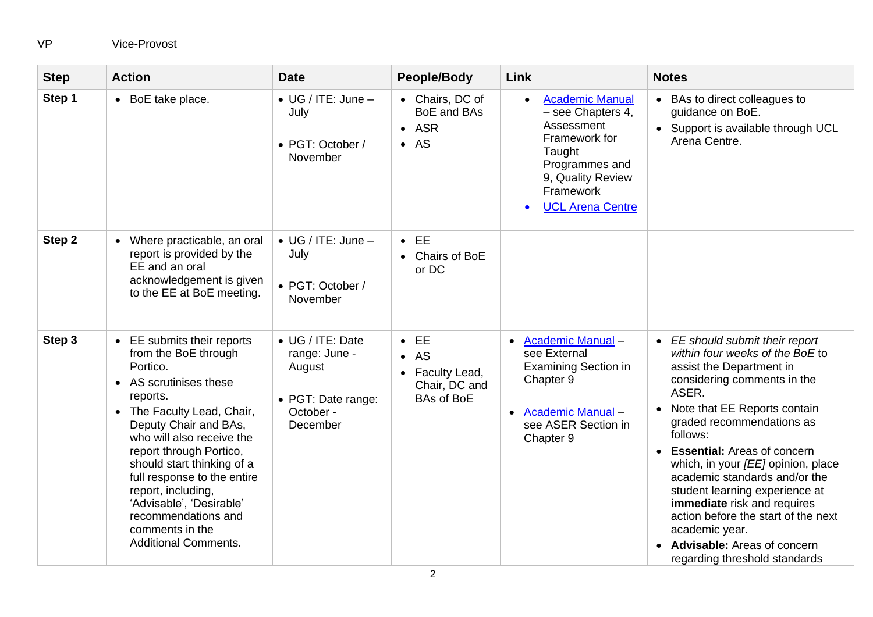## VP Vice-Provost

| <b>Step</b> | <b>Action</b>                                                                                                                                                                                                                                                                                                                                                                                                          | <b>Date</b>                                                                                | People/Body                                                                            | Link                                                                                                                                                                                          | <b>Notes</b>                                                                                                                                                                                                                                                                                                                                                                                                                                                                                                                                     |
|-------------|------------------------------------------------------------------------------------------------------------------------------------------------------------------------------------------------------------------------------------------------------------------------------------------------------------------------------------------------------------------------------------------------------------------------|--------------------------------------------------------------------------------------------|----------------------------------------------------------------------------------------|-----------------------------------------------------------------------------------------------------------------------------------------------------------------------------------------------|--------------------------------------------------------------------------------------------------------------------------------------------------------------------------------------------------------------------------------------------------------------------------------------------------------------------------------------------------------------------------------------------------------------------------------------------------------------------------------------------------------------------------------------------------|
| Step 1      | • BoE take place.                                                                                                                                                                                                                                                                                                                                                                                                      | $\bullet$ UG / ITE: June $-$<br>July<br>• PGT: October /<br>November                       | • Chairs, DC of<br>BoE and BAs<br>$-$ ASR<br>$\bullet$ AS                              | <b>Academic Manual</b><br>$\bullet$<br>- see Chapters 4,<br>Assessment<br>Framework for<br>Taught<br>Programmes and<br>9, Quality Review<br>Framework<br><b>UCL Arena Centre</b><br>$\bullet$ | • BAs to direct colleagues to<br>guidance on BoE.<br>• Support is available through UCL<br>Arena Centre.                                                                                                                                                                                                                                                                                                                                                                                                                                         |
| Step 2      | Where practicable, an oral<br>$\bullet$<br>report is provided by the<br>EE and an oral<br>acknowledgement is given<br>to the EE at BoE meeting.                                                                                                                                                                                                                                                                        | $\bullet$ UG / ITE: June $-$<br>July<br>• PGT: October /<br>November                       | $\bullet$ EE<br>Chairs of BoE<br>$\bullet$<br>or DC                                    |                                                                                                                                                                                               |                                                                                                                                                                                                                                                                                                                                                                                                                                                                                                                                                  |
| Step 3      | EE submits their reports<br>$\bullet$<br>from the BoE through<br>Portico.<br>• AS scrutinises these<br>reports.<br>• The Faculty Lead, Chair,<br>Deputy Chair and BAs,<br>who will also receive the<br>report through Portico,<br>should start thinking of a<br>full response to the entire<br>report, including,<br>'Advisable', 'Desirable'<br>recommendations and<br>comments in the<br><b>Additional Comments.</b> | • UG / ITE: Date<br>range: June -<br>August<br>• PGT: Date range:<br>October -<br>December | $\bullet$ EE<br>AS<br>$\bullet$<br>Faculty Lead,<br>Chair, DC and<br><b>BAs of BoE</b> | <b>Academic Manual -</b><br>$\bullet$<br>see External<br><b>Examining Section in</b><br>Chapter 9<br><b>Academic Manual -</b><br>see ASER Section in<br>Chapter 9                             | • EE should submit their report<br>within four weeks of the BoE to<br>assist the Department in<br>considering comments in the<br>ASER.<br>Note that EE Reports contain<br>$\bullet$<br>graded recommendations as<br>follows:<br><b>Essential: Areas of concern</b><br>$\bullet$<br>which, in your [EE] opinion, place<br>academic standards and/or the<br>student learning experience at<br>immediate risk and requires<br>action before the start of the next<br>academic year.<br>Advisable: Areas of concern<br>regarding threshold standards |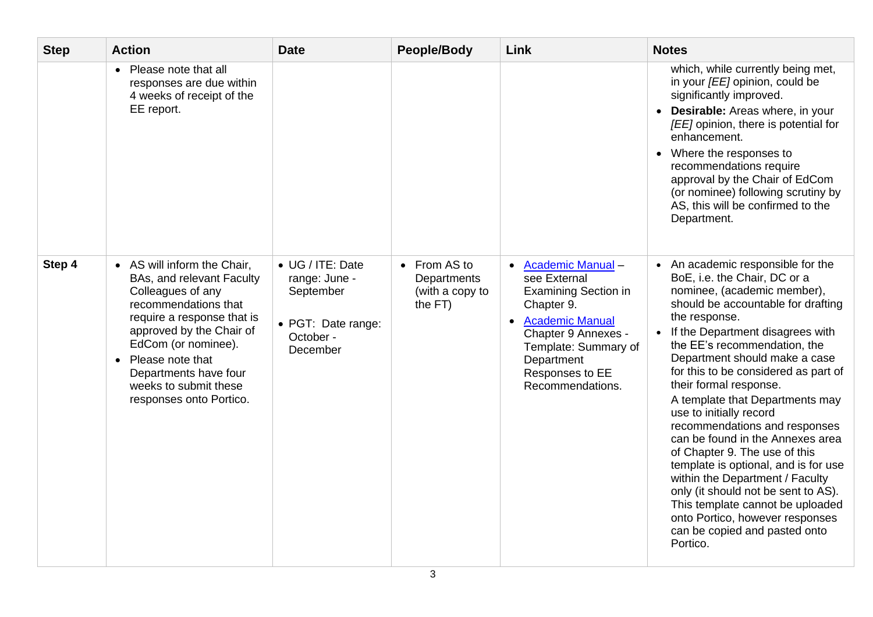| <b>Step</b> | <b>Action</b>                                                                                                                                                                                                                                                                             | <b>Date</b>                                                                                   | <b>People/Body</b>                                        | Link                                                                                                                                                                                                           | <b>Notes</b>                                                                                                                                                                                                                                                                                                                                                                                                                                                                                                                                                                                                                                                                                                                               |
|-------------|-------------------------------------------------------------------------------------------------------------------------------------------------------------------------------------------------------------------------------------------------------------------------------------------|-----------------------------------------------------------------------------------------------|-----------------------------------------------------------|----------------------------------------------------------------------------------------------------------------------------------------------------------------------------------------------------------------|--------------------------------------------------------------------------------------------------------------------------------------------------------------------------------------------------------------------------------------------------------------------------------------------------------------------------------------------------------------------------------------------------------------------------------------------------------------------------------------------------------------------------------------------------------------------------------------------------------------------------------------------------------------------------------------------------------------------------------------------|
|             | • Please note that all<br>responses are due within<br>4 weeks of receipt of the<br>EE report.                                                                                                                                                                                             |                                                                                               |                                                           |                                                                                                                                                                                                                | which, while currently being met,<br>in your [EE] opinion, could be<br>significantly improved.<br>• Desirable: Areas where, in your<br>[EE] opinion, there is potential for<br>enhancement.<br>• Where the responses to<br>recommendations require<br>approval by the Chair of EdCom<br>(or nominee) following scrutiny by<br>AS, this will be confirmed to the<br>Department.                                                                                                                                                                                                                                                                                                                                                             |
| Step 4      | • AS will inform the Chair,<br>BAs, and relevant Faculty<br>Colleagues of any<br>recommendations that<br>require a response that is<br>approved by the Chair of<br>EdCom (or nominee).<br>• Please note that<br>Departments have four<br>weeks to submit these<br>responses onto Portico. | • UG / ITE: Date<br>range: June -<br>September<br>• PGT: Date range:<br>October -<br>December | • From AS to<br>Departments<br>(with a copy to<br>the FT) | <b>Academic Manual -</b><br>see External<br><b>Examining Section in</b><br>Chapter 9.<br>• Academic Manual<br>Chapter 9 Annexes -<br>Template: Summary of<br>Department<br>Responses to EE<br>Recommendations. | • An academic responsible for the<br>BoE, i.e. the Chair, DC or a<br>nominee, (academic member),<br>should be accountable for drafting<br>the response.<br>• If the Department disagrees with<br>the EE's recommendation, the<br>Department should make a case<br>for this to be considered as part of<br>their formal response.<br>A template that Departments may<br>use to initially record<br>recommendations and responses<br>can be found in the Annexes area<br>of Chapter 9. The use of this<br>template is optional, and is for use<br>within the Department / Faculty<br>only (it should not be sent to AS).<br>This template cannot be uploaded<br>onto Portico, however responses<br>can be copied and pasted onto<br>Portico. |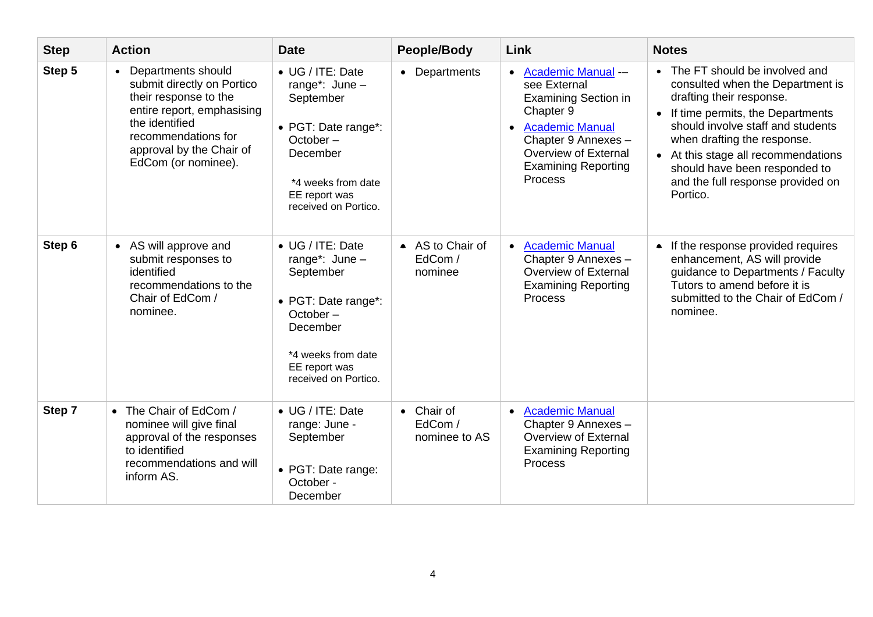| <b>Step</b> | <b>Action</b>                                                                                                                                                                                                    | <b>Date</b>                                                                                                                                                        | <b>People/Body</b>                     | Link                                                                                                                                                                                                                              | <b>Notes</b>                                                                                                                                                                                                                                                                                                                       |
|-------------|------------------------------------------------------------------------------------------------------------------------------------------------------------------------------------------------------------------|--------------------------------------------------------------------------------------------------------------------------------------------------------------------|----------------------------------------|-----------------------------------------------------------------------------------------------------------------------------------------------------------------------------------------------------------------------------------|------------------------------------------------------------------------------------------------------------------------------------------------------------------------------------------------------------------------------------------------------------------------------------------------------------------------------------|
| Step 5      | Departments should<br>$\bullet$<br>submit directly on Portico<br>their response to the<br>entire report, emphasising<br>the identified<br>recommendations for<br>approval by the Chair of<br>EdCom (or nominee). | • UG / ITE: Date<br>range*: $June -$<br>September<br>• PGT: Date range*:<br>$October -$<br>December<br>*4 weeks from date<br>EE report was<br>received on Portico. | • Departments                          | <b>Academic Manual --</b><br>$\bullet$<br>see External<br><b>Examining Section in</b><br>Chapter 9<br><b>Academic Manual</b><br>$\bullet$<br>Chapter 9 Annexes -<br>Overview of External<br><b>Examining Reporting</b><br>Process | • The FT should be involved and<br>consulted when the Department is<br>drafting their response.<br>• If time permits, the Departments<br>should involve staff and students<br>when drafting the response.<br>• At this stage all recommendations<br>should have been responded to<br>and the full response provided on<br>Portico. |
| Step 6      | • AS will approve and<br>submit responses to<br>identified<br>recommendations to the<br>Chair of EdCom /<br>nominee.                                                                                             | • UG / ITE: Date<br>range*: $June -$<br>September<br>• PGT: Date range*:<br>October –<br>December<br>*4 weeks from date<br>EE report was<br>received on Portico.   | • AS to Chair of<br>EdCom /<br>nominee | <b>Academic Manual</b><br>$\bullet$<br>Chapter 9 Annexes -<br>Overview of External<br><b>Examining Reporting</b><br>Process                                                                                                       | • If the response provided requires<br>enhancement, AS will provide<br>guidance to Departments / Faculty<br>Tutors to amend before it is<br>submitted to the Chair of EdCom /<br>nominee.                                                                                                                                          |
| Step 7      | • The Chair of EdCom /<br>nominee will give final<br>approval of the responses<br>to identified<br>recommendations and will<br>inform AS.                                                                        | • UG / ITE: Date<br>range: June -<br>September<br>• PGT: Date range:<br>October -<br>December                                                                      | • Chair of<br>EdCom /<br>nominee to AS | <b>Academic Manual</b><br>$\bullet$<br>Chapter 9 Annexes -<br>Overview of External<br><b>Examining Reporting</b><br>Process                                                                                                       |                                                                                                                                                                                                                                                                                                                                    |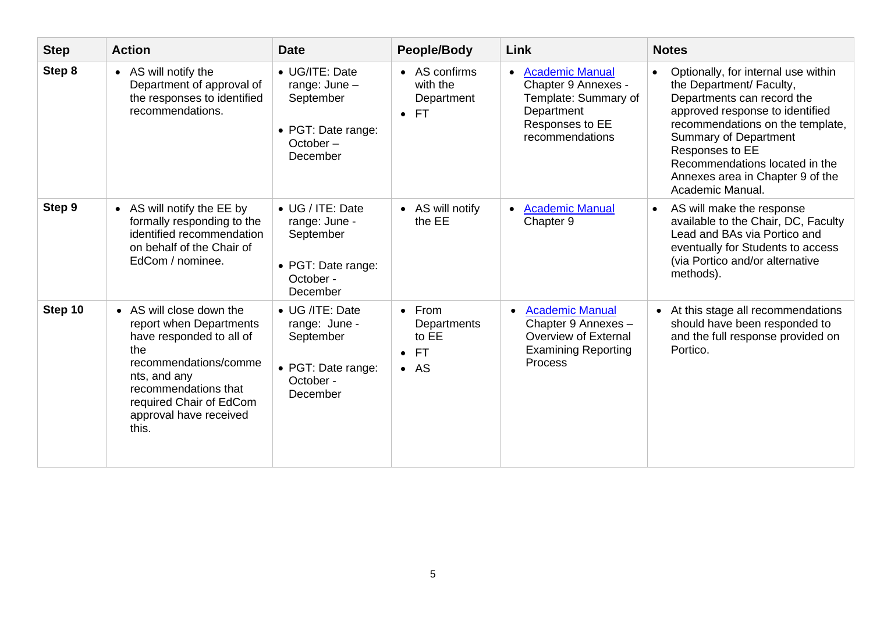| <b>Step</b> | <b>Action</b>                                                                                                                                                                                                         | <b>Date</b>                                                                                     | <b>People/Body</b>                                                               | Link                                                                                                                                   | <b>Notes</b>                                                                                                                                                                                                                                                                                                      |
|-------------|-----------------------------------------------------------------------------------------------------------------------------------------------------------------------------------------------------------------------|-------------------------------------------------------------------------------------------------|----------------------------------------------------------------------------------|----------------------------------------------------------------------------------------------------------------------------------------|-------------------------------------------------------------------------------------------------------------------------------------------------------------------------------------------------------------------------------------------------------------------------------------------------------------------|
| Step 8      | • AS will notify the<br>Department of approval of<br>the responses to identified<br>recommendations.                                                                                                                  | • UG/ITE: Date<br>range: $June -$<br>September<br>• PGT: Date range:<br>$October -$<br>December | • AS confirms<br>with the<br>Department<br>$\bullet$ FT                          | <b>Academic Manual</b><br>$\bullet$<br>Chapter 9 Annexes -<br>Template: Summary of<br>Department<br>Responses to EE<br>recommendations | Optionally, for internal use within<br>the Department/ Faculty,<br>Departments can record the<br>approved response to identified<br>recommendations on the template,<br><b>Summary of Department</b><br>Responses to EE<br>Recommendations located in the<br>Annexes area in Chapter 9 of the<br>Academic Manual. |
| Step 9      | • AS will notify the EE by<br>formally responding to the<br>identified recommendation<br>on behalf of the Chair of<br>EdCom / nominee.                                                                                | • UG / ITE: Date<br>range: June -<br>September<br>• PGT: Date range:<br>October -<br>December   | • AS will notify<br>the EE                                                       | <b>Academic Manual</b><br>$\bullet$<br>Chapter 9                                                                                       | AS will make the response<br>available to the Chair, DC, Faculty<br>Lead and BAs via Portico and<br>eventually for Students to access<br>(via Portico and/or alternative<br>methods).                                                                                                                             |
| Step 10     | • AS will close down the<br>report when Departments<br>have responded to all of<br>the<br>recommendations/comme<br>nts, and any<br>recommendations that<br>required Chair of EdCom<br>approval have received<br>this. | • UG /ITE: Date<br>range: June -<br>September<br>• PGT: Date range:<br>October -<br>December    | $\bullet$ From<br>Departments<br>to EE<br><b>FT</b><br>$\bullet$<br>$\bullet$ AS | <b>Academic Manual</b><br>$\bullet$<br>Chapter 9 Annexes -<br>Overview of External<br><b>Examining Reporting</b><br><b>Process</b>     | • At this stage all recommendations<br>should have been responded to<br>and the full response provided on<br>Portico.                                                                                                                                                                                             |